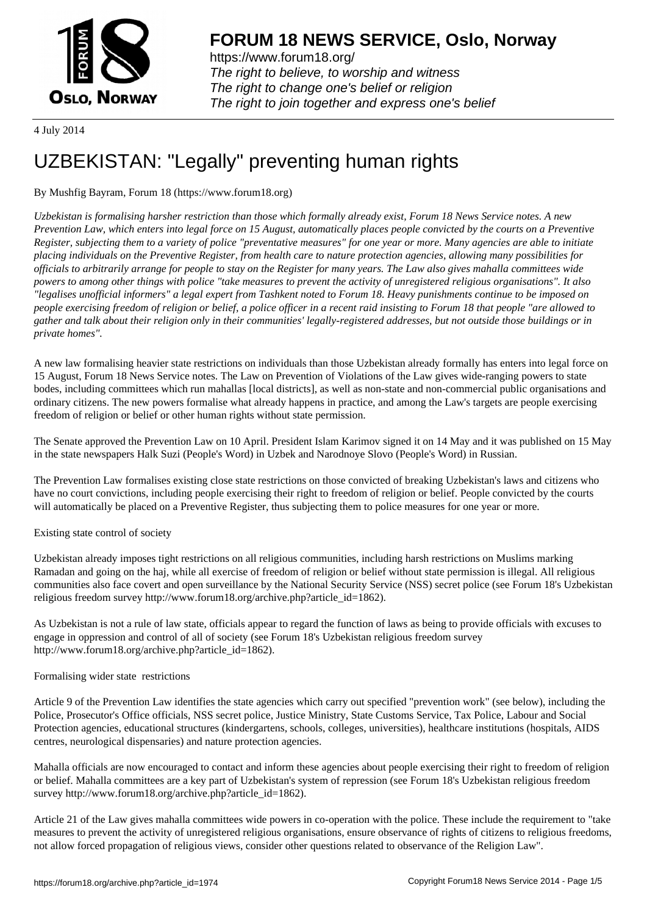

https://www.forum18.org/ The right to believe, to worship and witness The right to change one's belief or religion [The right to join together a](https://www.forum18.org/)nd express one's belief

4 July 2014

# [UZBEKISTAN:](https://www.forum18.org) "Legally" preventing human rights

## By Mushfig Bayram, Forum 18 (https://www.forum18.org)

*Uzbekistan is formalising harsher restriction than those which formally already exist, Forum 18 News Service notes. A new Prevention Law, which enters into legal force on 15 August, automatically places people convicted by the courts on a Preventive Register, subjecting them to a variety of police "preventative measures" for one year or more. Many agencies are able to initiate placing individuals on the Preventive Register, from health care to nature protection agencies, allowing many possibilities for officials to arbitrarily arrange for people to stay on the Register for many years. The Law also gives mahalla committees wide powers to among other things with police "take measures to prevent the activity of unregistered religious organisations". It also "legalises unofficial informers" a legal expert from Tashkent noted to Forum 18. Heavy punishments continue to be imposed on people exercising freedom of religion or belief, a police officer in a recent raid insisting to Forum 18 that people "are allowed to gather and talk about their religion only in their communities' legally-registered addresses, but not outside those buildings or in private homes".*

A new law formalising heavier state restrictions on individuals than those Uzbekistan already formally has enters into legal force on 15 August, Forum 18 News Service notes. The Law on Prevention of Violations of the Law gives wide-ranging powers to state bodes, including committees which run mahallas [local districts], as well as non-state and non-commercial public organisations and ordinary citizens. The new powers formalise what already happens in practice, and among the Law's targets are people exercising freedom of religion or belief or other human rights without state permission.

The Senate approved the Prevention Law on 10 April. President Islam Karimov signed it on 14 May and it was published on 15 May in the state newspapers Halk Suzi (People's Word) in Uzbek and Narodnoye Slovo (People's Word) in Russian.

The Prevention Law formalises existing close state restrictions on those convicted of breaking Uzbekistan's laws and citizens who have no court convictions, including people exercising their right to freedom of religion or belief. People convicted by the courts will automatically be placed on a Preventive Register, thus subjecting them to police measures for one year or more.

## Existing state control of society

Uzbekistan already imposes tight restrictions on all religious communities, including harsh restrictions on Muslims marking Ramadan and going on the haj, while all exercise of freedom of religion or belief without state permission is illegal. All religious communities also face covert and open surveillance by the National Security Service (NSS) secret police (see Forum 18's Uzbekistan religious freedom survey http://www.forum18.org/archive.php?article\_id=1862).

As Uzbekistan is not a rule of law state, officials appear to regard the function of laws as being to provide officials with excuses to engage in oppression and control of all of society (see Forum 18's Uzbekistan religious freedom survey http://www.forum18.org/archive.php?article\_id=1862).

### Formalising wider state restrictions

Article 9 of the Prevention Law identifies the state agencies which carry out specified "prevention work" (see below), including the Police, Prosecutor's Office officials, NSS secret police, Justice Ministry, State Customs Service, Tax Police, Labour and Social Protection agencies, educational structures (kindergartens, schools, colleges, universities), healthcare institutions (hospitals, AIDS centres, neurological dispensaries) and nature protection agencies.

Mahalla officials are now encouraged to contact and inform these agencies about people exercising their right to freedom of religion or belief. Mahalla committees are a key part of Uzbekistan's system of repression (see Forum 18's Uzbekistan religious freedom survey http://www.forum18.org/archive.php?article\_id=1862).

Article 21 of the Law gives mahalla committees wide powers in co-operation with the police. These include the requirement to "take measures to prevent the activity of unregistered religious organisations, ensure observance of rights of citizens to religious freedoms, not allow forced propagation of religious views, consider other questions related to observance of the Religion Law".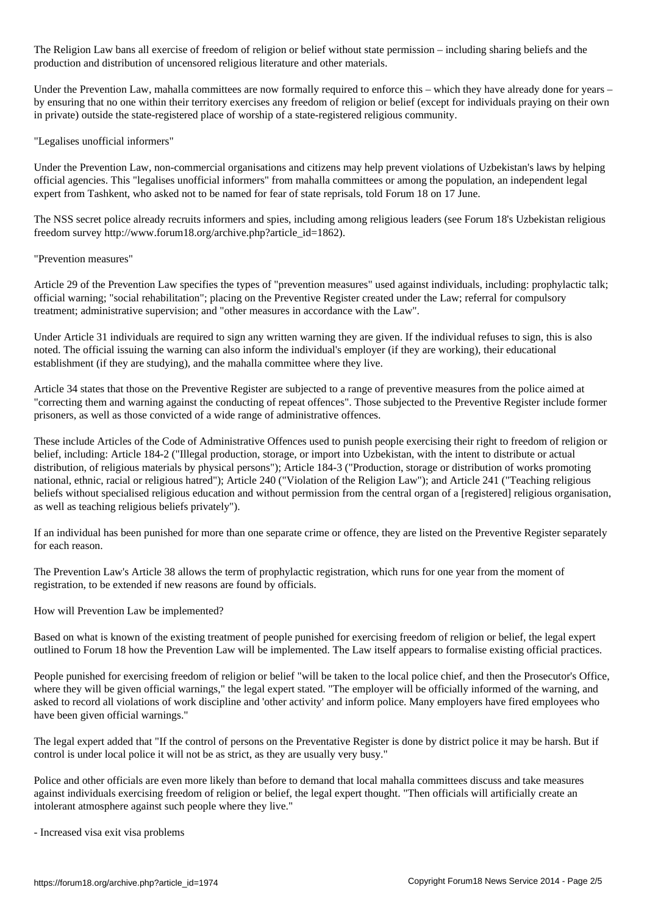The Religion Law bans all exercise of freedom of religion or belief without state permission – including sharing beliefs and the production and distribution of uncensored religious literature and other materials.

Under the Prevention Law, mahalla committees are now formally required to enforce this – which they have already done for years – by ensuring that no one within their territory exercises any freedom of religion or belief (except for individuals praying on their own in private) outside the state-registered place of worship of a state-registered religious community.

"Legalises unofficial informers"

Under the Prevention Law, non-commercial organisations and citizens may help prevent violations of Uzbekistan's laws by helping official agencies. This "legalises unofficial informers" from mahalla committees or among the population, an independent legal expert from Tashkent, who asked not to be named for fear of state reprisals, told Forum 18 on 17 June.

The NSS secret police already recruits informers and spies, including among religious leaders (see Forum 18's Uzbekistan religious freedom survey http://www.forum18.org/archive.php?article\_id=1862).

"Prevention measures"

Article 29 of the Prevention Law specifies the types of "prevention measures" used against individuals, including: prophylactic talk; official warning; "social rehabilitation"; placing on the Preventive Register created under the Law; referral for compulsory treatment; administrative supervision; and "other measures in accordance with the Law".

Under Article 31 individuals are required to sign any written warning they are given. If the individual refuses to sign, this is also noted. The official issuing the warning can also inform the individual's employer (if they are working), their educational establishment (if they are studying), and the mahalla committee where they live.

Article 34 states that those on the Preventive Register are subjected to a range of preventive measures from the police aimed at "correcting them and warning against the conducting of repeat offences". Those subjected to the Preventive Register include former prisoners, as well as those convicted of a wide range of administrative offences.

These include Articles of the Code of Administrative Offences used to punish people exercising their right to freedom of religion or belief, including: Article 184-2 ("Illegal production, storage, or import into Uzbekistan, with the intent to distribute or actual distribution, of religious materials by physical persons"); Article 184-3 ("Production, storage or distribution of works promoting national, ethnic, racial or religious hatred"); Article 240 ("Violation of the Religion Law"); and Article 241 ("Teaching religious beliefs without specialised religious education and without permission from the central organ of a [registered] religious organisation, as well as teaching religious beliefs privately").

If an individual has been punished for more than one separate crime or offence, they are listed on the Preventive Register separately for each reason.

The Prevention Law's Article 38 allows the term of prophylactic registration, which runs for one year from the moment of registration, to be extended if new reasons are found by officials.

How will Prevention Law be implemented?

Based on what is known of the existing treatment of people punished for exercising freedom of religion or belief, the legal expert outlined to Forum 18 how the Prevention Law will be implemented. The Law itself appears to formalise existing official practices.

People punished for exercising freedom of religion or belief "will be taken to the local police chief, and then the Prosecutor's Office, where they will be given official warnings," the legal expert stated. "The employer will be officially informed of the warning, and asked to record all violations of work discipline and 'other activity' and inform police. Many employers have fired employees who have been given official warnings."

The legal expert added that "If the control of persons on the Preventative Register is done by district police it may be harsh. But if control is under local police it will not be as strict, as they are usually very busy."

Police and other officials are even more likely than before to demand that local mahalla committees discuss and take measures against individuals exercising freedom of religion or belief, the legal expert thought. "Then officials will artificially create an intolerant atmosphere against such people where they live."

- Increased visa exit visa problems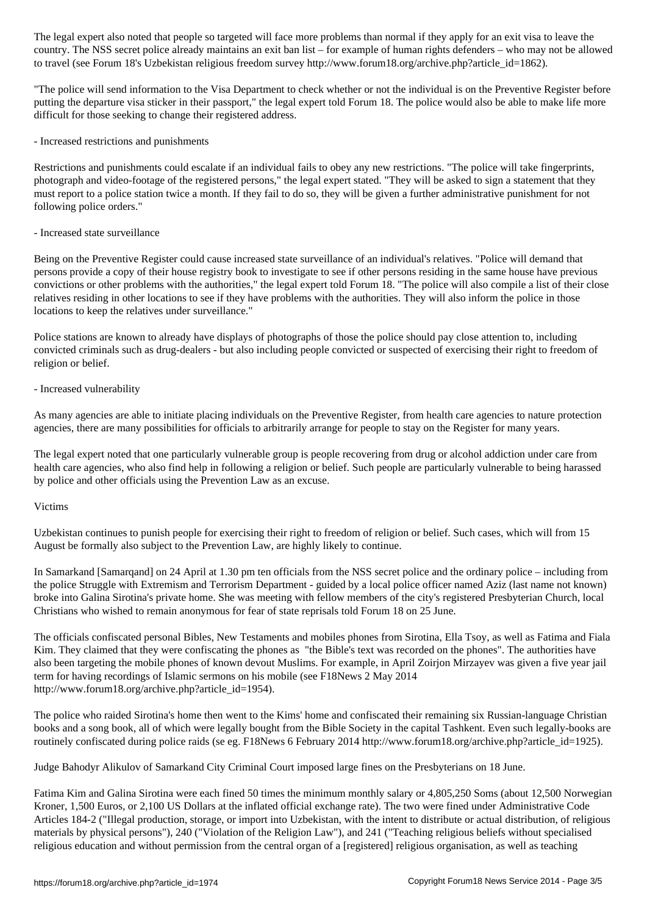country. The NSS secret police already maintains an exit ban list – for example of human rights defenders – who may not be allowed to travel (see Forum 18's Uzbekistan religious freedom survey http://www.forum18.org/archive.php?article\_id=1862).

"The police will send information to the Visa Department to check whether or not the individual is on the Preventive Register before putting the departure visa sticker in their passport," the legal expert told Forum 18. The police would also be able to make life more difficult for those seeking to change their registered address.

- Increased restrictions and punishments

Restrictions and punishments could escalate if an individual fails to obey any new restrictions. "The police will take fingerprints, photograph and video-footage of the registered persons," the legal expert stated. "They will be asked to sign a statement that they must report to a police station twice a month. If they fail to do so, they will be given a further administrative punishment for not following police orders."

- Increased state surveillance

Being on the Preventive Register could cause increased state surveillance of an individual's relatives. "Police will demand that persons provide a copy of their house registry book to investigate to see if other persons residing in the same house have previous convictions or other problems with the authorities," the legal expert told Forum 18. "The police will also compile a list of their close relatives residing in other locations to see if they have problems with the authorities. They will also inform the police in those locations to keep the relatives under surveillance."

Police stations are known to already have displays of photographs of those the police should pay close attention to, including convicted criminals such as drug-dealers - but also including people convicted or suspected of exercising their right to freedom of religion or belief.

- Increased vulnerability

As many agencies are able to initiate placing individuals on the Preventive Register, from health care agencies to nature protection agencies, there are many possibilities for officials to arbitrarily arrange for people to stay on the Register for many years.

The legal expert noted that one particularly vulnerable group is people recovering from drug or alcohol addiction under care from health care agencies, who also find help in following a religion or belief. Such people are particularly vulnerable to being harassed by police and other officials using the Prevention Law as an excuse.

### Victims

Uzbekistan continues to punish people for exercising their right to freedom of religion or belief. Such cases, which will from 15 August be formally also subject to the Prevention Law, are highly likely to continue.

In Samarkand [Samarqand] on 24 April at 1.30 pm ten officials from the NSS secret police and the ordinary police – including from the police Struggle with Extremism and Terrorism Department - guided by a local police officer named Aziz (last name not known) broke into Galina Sirotina's private home. She was meeting with fellow members of the city's registered Presbyterian Church, local Christians who wished to remain anonymous for fear of state reprisals told Forum 18 on 25 June.

The officials confiscated personal Bibles, New Testaments and mobiles phones from Sirotina, Ella Tsoy, as well as Fatima and Fiala Kim. They claimed that they were confiscating the phones as "the Bible's text was recorded on the phones". The authorities have also been targeting the mobile phones of known devout Muslims. For example, in April Zoirjon Mirzayev was given a five year jail term for having recordings of Islamic sermons on his mobile (see F18News 2 May 2014 http://www.forum18.org/archive.php?article\_id=1954).

The police who raided Sirotina's home then went to the Kims' home and confiscated their remaining six Russian-language Christian books and a song book, all of which were legally bought from the Bible Society in the capital Tashkent. Even such legally-books are routinely confiscated during police raids (se eg. F18News 6 February 2014 http://www.forum18.org/archive.php?article\_id=1925).

Judge Bahodyr Alikulov of Samarkand City Criminal Court imposed large fines on the Presbyterians on 18 June.

Fatima Kim and Galina Sirotina were each fined 50 times the minimum monthly salary or 4,805,250 Soms (about 12,500 Norwegian Kroner, 1,500 Euros, or 2,100 US Dollars at the inflated official exchange rate). The two were fined under Administrative Code Articles 184-2 ("Illegal production, storage, or import into Uzbekistan, with the intent to distribute or actual distribution, of religious materials by physical persons"), 240 ("Violation of the Religion Law"), and 241 ("Teaching religious beliefs without specialised religious education and without permission from the central organ of a [registered] religious organisation, as well as teaching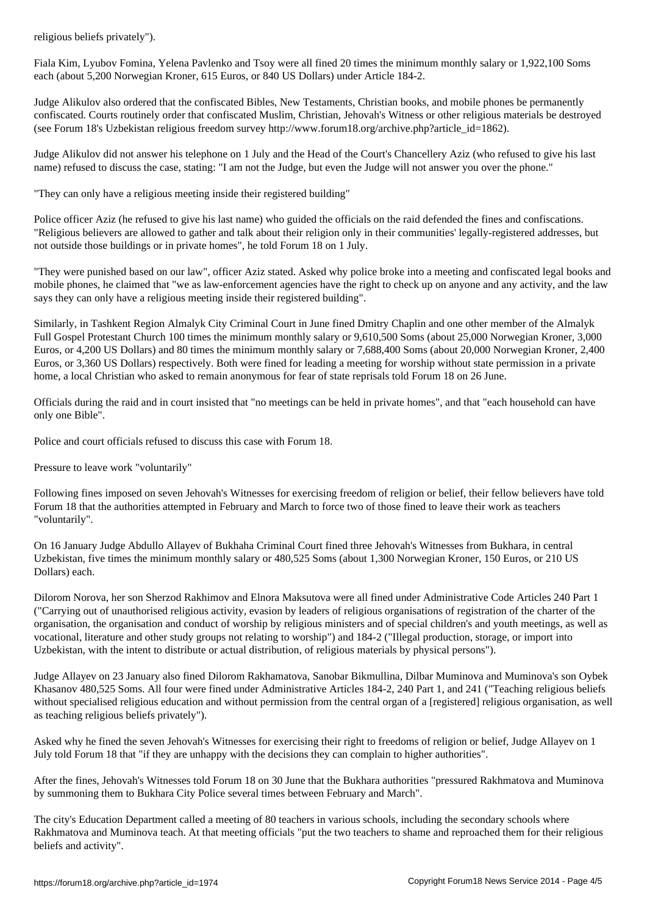Fiala Kim, Lyubov Fomina, Yelena Pavlenko and Tsoy were all fined 20 times the minimum monthly salary or 1,922,100 Soms each (about 5,200 Norwegian Kroner, 615 Euros, or 840 US Dollars) under Article 184-2.

Judge Alikulov also ordered that the confiscated Bibles, New Testaments, Christian books, and mobile phones be permanently confiscated. Courts routinely order that confiscated Muslim, Christian, Jehovah's Witness or other religious materials be destroyed (see Forum 18's Uzbekistan religious freedom survey http://www.forum18.org/archive.php?article\_id=1862).

Judge Alikulov did not answer his telephone on 1 July and the Head of the Court's Chancellery Aziz (who refused to give his last name) refused to discuss the case, stating: "I am not the Judge, but even the Judge will not answer you over the phone."

"They can only have a religious meeting inside their registered building"

Police officer Aziz (he refused to give his last name) who guided the officials on the raid defended the fines and confiscations. "Religious believers are allowed to gather and talk about their religion only in their communities' legally-registered addresses, but not outside those buildings or in private homes", he told Forum 18 on 1 July.

"They were punished based on our law", officer Aziz stated. Asked why police broke into a meeting and confiscated legal books and mobile phones, he claimed that "we as law-enforcement agencies have the right to check up on anyone and any activity, and the law says they can only have a religious meeting inside their registered building".

Similarly, in Tashkent Region Almalyk City Criminal Court in June fined Dmitry Chaplin and one other member of the Almalyk Full Gospel Protestant Church 100 times the minimum monthly salary or 9,610,500 Soms (about 25,000 Norwegian Kroner, 3,000 Euros, or 4,200 US Dollars) and 80 times the minimum monthly salary or 7,688,400 Soms (about 20,000 Norwegian Kroner, 2,400 Euros, or 3,360 US Dollars) respectively. Both were fined for leading a meeting for worship without state permission in a private home, a local Christian who asked to remain anonymous for fear of state reprisals told Forum 18 on 26 June.

Officials during the raid and in court insisted that "no meetings can be held in private homes", and that "each household can have only one Bible".

Police and court officials refused to discuss this case with Forum 18.

Pressure to leave work "voluntarily"

Following fines imposed on seven Jehovah's Witnesses for exercising freedom of religion or belief, their fellow believers have told Forum 18 that the authorities attempted in February and March to force two of those fined to leave their work as teachers "voluntarily".

On 16 January Judge Abdullo Allayev of Bukhaha Criminal Court fined three Jehovah's Witnesses from Bukhara, in central Uzbekistan, five times the minimum monthly salary or 480,525 Soms (about 1,300 Norwegian Kroner, 150 Euros, or 210 US Dollars) each.

Dilorom Norova, her son Sherzod Rakhimov and Elnora Maksutova were all fined under Administrative Code Articles 240 Part 1 ("Carrying out of unauthorised religious activity, evasion by leaders of religious organisations of registration of the charter of the organisation, the organisation and conduct of worship by religious ministers and of special children's and youth meetings, as well as vocational, literature and other study groups not relating to worship") and 184-2 ("Illegal production, storage, or import into Uzbekistan, with the intent to distribute or actual distribution, of religious materials by physical persons").

Judge Allayev on 23 January also fined Dilorom Rakhamatova, Sanobar Bikmullina, Dilbar Muminova and Muminova's son Oybek Khasanov 480,525 Soms. All four were fined under Administrative Articles 184-2, 240 Part 1, and 241 ("Teaching religious beliefs without specialised religious education and without permission from the central organ of a [registered] religious organisation, as well as teaching religious beliefs privately").

Asked why he fined the seven Jehovah's Witnesses for exercising their right to freedoms of religion or belief, Judge Allayev on 1 July told Forum 18 that "if they are unhappy with the decisions they can complain to higher authorities".

After the fines, Jehovah's Witnesses told Forum 18 on 30 June that the Bukhara authorities "pressured Rakhmatova and Muminova by summoning them to Bukhara City Police several times between February and March".

The city's Education Department called a meeting of 80 teachers in various schools, including the secondary schools where Rakhmatova and Muminova teach. At that meeting officials "put the two teachers to shame and reproached them for their religious beliefs and activity".